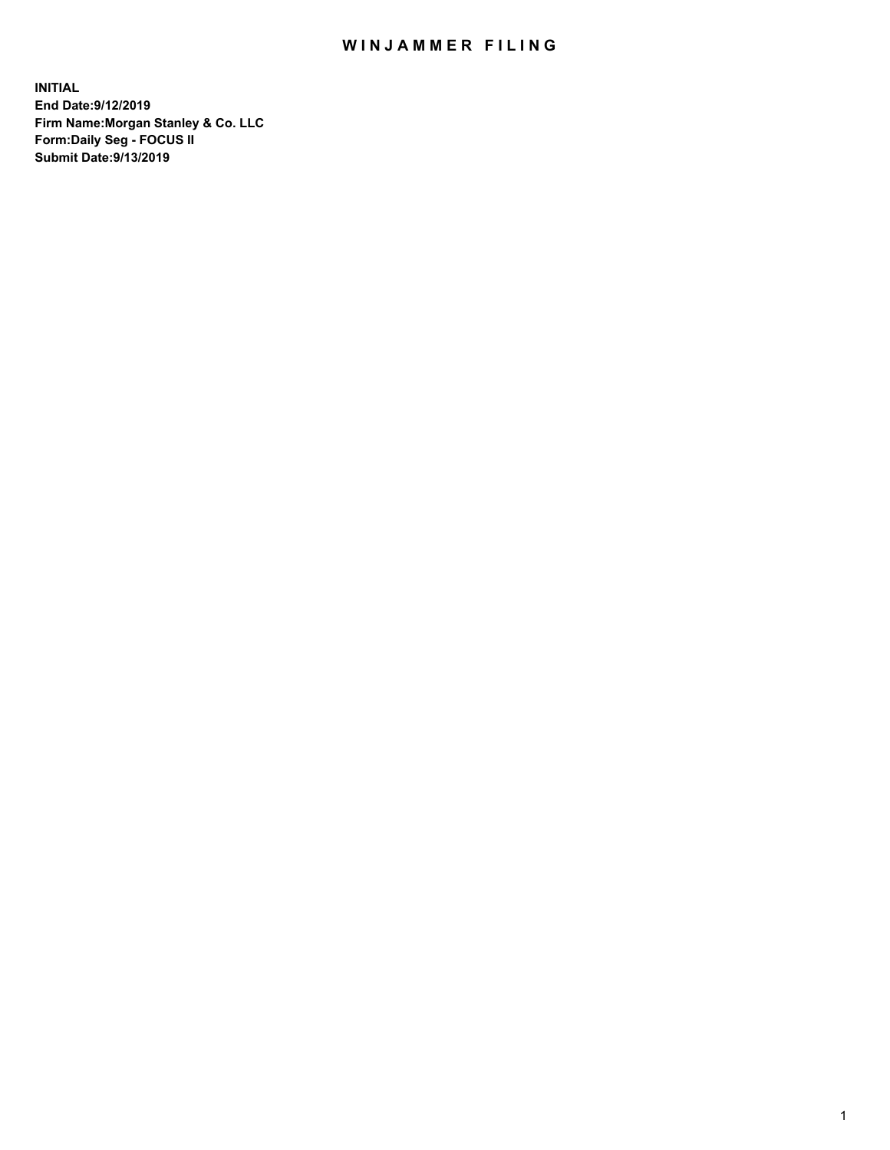## WIN JAMMER FILING

**INITIAL End Date:9/12/2019 Firm Name:Morgan Stanley & Co. LLC Form:Daily Seg - FOCUS II Submit Date:9/13/2019**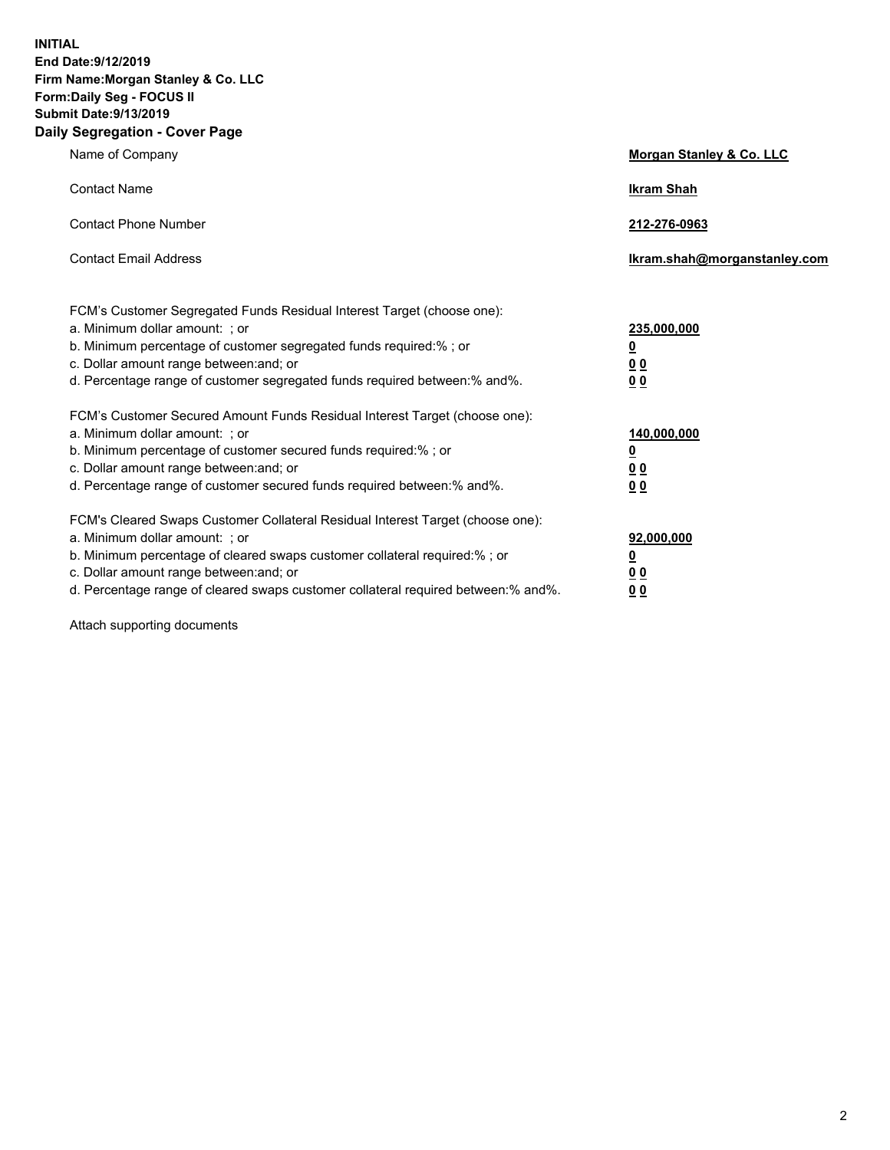**INITIAL End Date:9/12/2019 Firm Name:Morgan Stanley & Co. LLC Form:Daily Seg - FOCUS II Submit Date:9/13/2019 Daily Segregation - Cover Page**

| Name of Company                                                                   | Morgan Stanley & Co. LLC     |
|-----------------------------------------------------------------------------------|------------------------------|
| <b>Contact Name</b>                                                               | <b>Ikram Shah</b>            |
| <b>Contact Phone Number</b>                                                       | 212-276-0963                 |
| <b>Contact Email Address</b>                                                      | Ikram.shah@morganstanley.com |
| FCM's Customer Segregated Funds Residual Interest Target (choose one):            |                              |
| a. Minimum dollar amount: ; or                                                    | 235,000,000                  |
| b. Minimum percentage of customer segregated funds required:% ; or                | <u>0</u>                     |
| c. Dollar amount range between: and; or                                           | <u>0 0</u>                   |
| d. Percentage range of customer segregated funds required between: % and %.       | 00                           |
| FCM's Customer Secured Amount Funds Residual Interest Target (choose one):        |                              |
| a. Minimum dollar amount: ; or                                                    | 140,000,000                  |
| b. Minimum percentage of customer secured funds required:%; or                    | <u>0</u>                     |
| c. Dollar amount range between: and; or                                           | 0 <sub>0</sub>               |
| d. Percentage range of customer secured funds required between:% and%.            | 0 <sub>0</sub>               |
| FCM's Cleared Swaps Customer Collateral Residual Interest Target (choose one):    |                              |
| a. Minimum dollar amount: ; or                                                    | 92,000,000                   |
| b. Minimum percentage of cleared swaps customer collateral required:% ; or        | <u>0</u>                     |
| c. Dollar amount range between: and; or                                           | 0 Q                          |
| d. Percentage range of cleared swaps customer collateral required between:% and%. | 00                           |

Attach supporting documents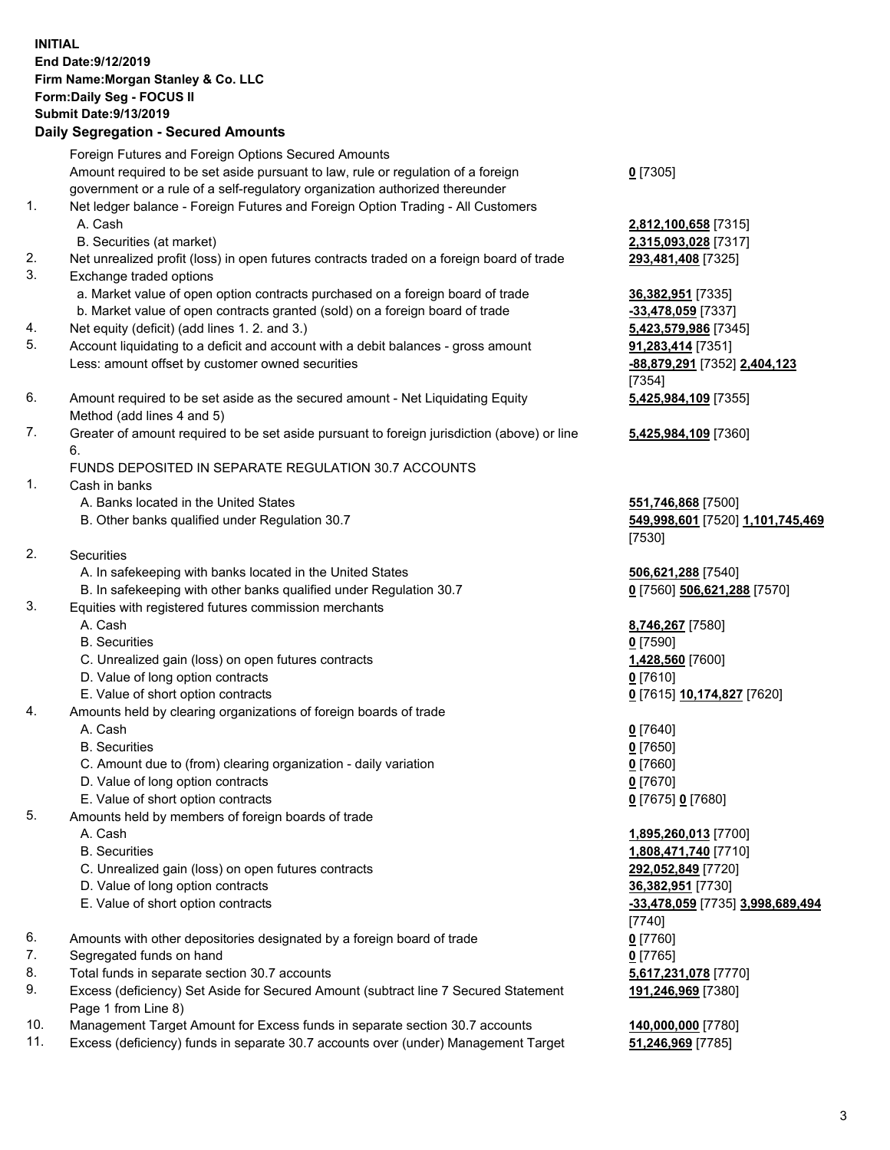## **INITIAL End Date:9/12/2019 Firm Name:Morgan Stanley & Co. LLC Form:Daily Seg - FOCUS II Submit Date:9/13/2019 Daily Segregation - Secured Amounts**

Foreign Futures and Foreign Options Secured Amounts Amount required to be set aside pursuant to law, rule or regulation of a foreign government or a rule of a self-regulatory organization authorized thereunder 1. Net ledger balance - Foreign Futures and Foreign Option Trading - All Customers A. Cash **2,812,100,658** [7315] B. Securities (at market) **2,315,093,028** [7317] 2. Net unrealized profit (loss) in open futures contracts traded on a foreign board of trade **293,481,408** [7325] 3. Exchange traded options a. Market value of open option contracts purchased on a foreign board of trade **36,382,951** [7335] b. Market value of open contracts granted (sold) on a foreign board of trade **-33,478,059** [7337] 4. Net equity (deficit) (add lines 1. 2. and 3.) **5,423,579,986** [7345] 5. Account liquidating to a deficit and account with a debit balances - gross amount **91,283,414** [7351] Less: amount offset by customer owned securities **-88,879,291** [7352] **2,404,123** 6. Amount required to be set aside as the secured amount - Net Liquidating Equity Method (add lines 4 and 5) 7. Greater of amount required to be set aside pursuant to foreign jurisdiction (above) or line 6. FUNDS DEPOSITED IN SEPARATE REGULATION 30.7 ACCOUNTS 1. Cash in banks A. Banks located in the United States **551,746,868** [7500] B. Other banks qualified under Regulation 30.7 **549,998,601** [7520] **1,101,745,469** 2. Securities A. In safekeeping with banks located in the United States **506,621,288** [7540] B. In safekeeping with other banks qualified under Regulation 30.7 **0** [7560] **506,621,288** [7570] 3. Equities with registered futures commission merchants A. Cash **8,746,267** [7580] B. Securities **0** [7590] C. Unrealized gain (loss) on open futures contracts **1,428,560** [7600] D. Value of long option contracts **0** [7610] E. Value of short option contracts **0** [7615] **10,174,827** [7620] 4. Amounts held by clearing organizations of foreign boards of trade A. Cash **0** [7640] B. Securities **0** [7650] C. Amount due to (from) clearing organization - daily variation **0** [7660] D. Value of long option contracts **0** [7670] E. Value of short option contracts **0** [7675] **0** [7680] 5. Amounts held by members of foreign boards of trade A. Cash **1,895,260,013** [7700] B. Securities **1,808,471,740** [7710] C. Unrealized gain (loss) on open futures contracts **292,052,849** [7720]

- D. Value of long option contracts **36,382,951** [7730]
- E. Value of short option contracts **-33,478,059** [7735] **3,998,689,494**
- 6. Amounts with other depositories designated by a foreign board of trade **0** [7760]
- 7. Segregated funds on hand **0** [7765]
- 8. Total funds in separate section 30.7 accounts **5,617,231,078** [7770]
- 9. Excess (deficiency) Set Aside for Secured Amount (subtract line 7 Secured Statement Page 1 from Line 8)
- 10. Management Target Amount for Excess funds in separate section 30.7 accounts **140,000,000** [7780]
- 11. Excess (deficiency) funds in separate 30.7 accounts over (under) Management Target **51,246,969** [7785]

**0** [7305]

[7354] **5,425,984,109** [7355]

**5,425,984,109** [7360]

[7530]

[7740] **191,246,969** [7380]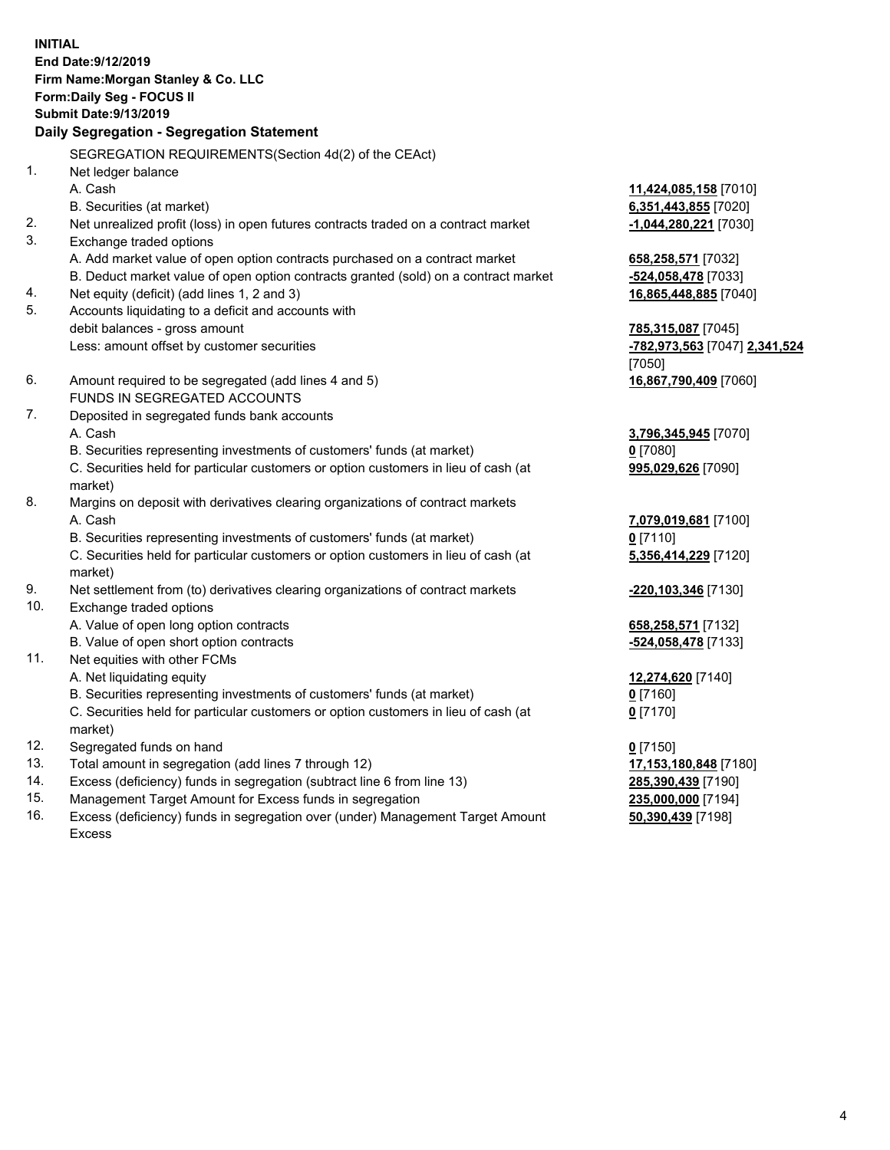**INITIAL End Date:9/12/2019 Firm Name:Morgan Stanley & Co. LLC Form:Daily Seg - FOCUS II Submit Date:9/13/2019 Daily Segregation - Segregation Statement** SEGREGATION REQUIREMENTS(Section 4d(2) of the CEAct) 1. Net ledger balance A. Cash **11,424,085,158** [7010] B. Securities (at market) **6,351,443,855** [7020] 2. Net unrealized profit (loss) in open futures contracts traded on a contract market **-1,044,280,221** [7030] 3. Exchange traded options A. Add market value of open option contracts purchased on a contract market **658,258,571** [7032] B. Deduct market value of open option contracts granted (sold) on a contract market **-524,058,478** [7033] 4. Net equity (deficit) (add lines 1, 2 and 3) **16,865,448,885** [7040] 5. Accounts liquidating to a deficit and accounts with debit balances - gross amount **785,315,087** [7045] Less: amount offset by customer securities **-782,973,563** [7047] **2,341,524** [7050] 6. Amount required to be segregated (add lines 4 and 5) **16,867,790,409** [7060] FUNDS IN SEGREGATED ACCOUNTS 7. Deposited in segregated funds bank accounts A. Cash **3,796,345,945** [7070] B. Securities representing investments of customers' funds (at market) **0** [7080] C. Securities held for particular customers or option customers in lieu of cash (at market) **995,029,626** [7090] 8. Margins on deposit with derivatives clearing organizations of contract markets A. Cash **7,079,019,681** [7100] B. Securities representing investments of customers' funds (at market) **0** [7110] C. Securities held for particular customers or option customers in lieu of cash (at market) **5,356,414,229** [7120] 9. Net settlement from (to) derivatives clearing organizations of contract markets **-220,103,346** [7130] 10. Exchange traded options A. Value of open long option contracts **658,258,571** [7132] B. Value of open short option contracts **-524,058,478** [7133] 11. Net equities with other FCMs A. Net liquidating equity **12,274,620** [7140] B. Securities representing investments of customers' funds (at market) **0** [7160] C. Securities held for particular customers or option customers in lieu of cash (at market) **0** [7170] 12. Segregated funds on hand **0** [7150] 13. Total amount in segregation (add lines 7 through 12) **17,153,180,848** [7180] 14. Excess (deficiency) funds in segregation (subtract line 6 from line 13) **285,390,439** [7190]

- 15. Management Target Amount for Excess funds in segregation **235,000,000** [7194]
- 16. Excess (deficiency) funds in segregation over (under) Management Target Amount Excess

**50,390,439** [7198]